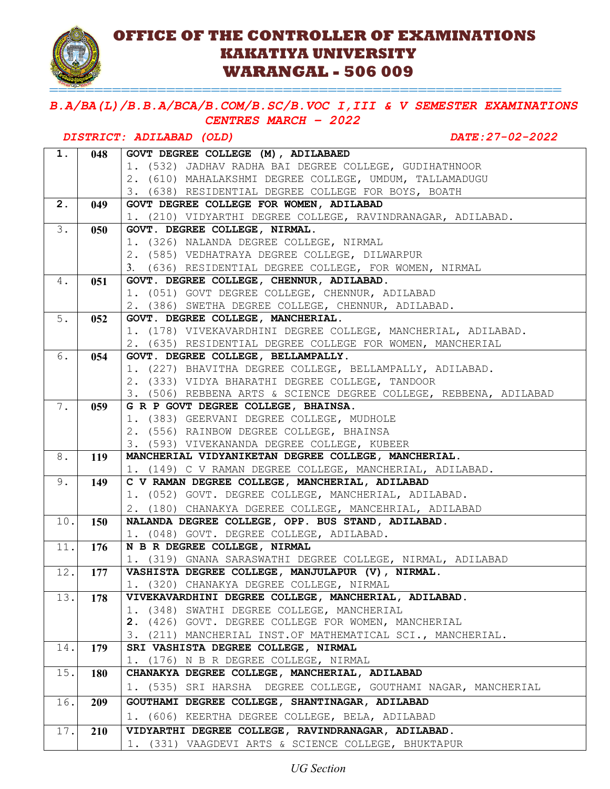

## **OFFICE OF THE CONTROLLER OF EXAMINATIONS KAKATIYA UNIVERSITY WARANGAL - 506 009**

=========================================================

*B.A/BA(L)/B.B.A/BCA/B.COM/B.SC/B.VOC I,III & V SEMESTER EXAMINATIONS CENTRES MARCH – 2022* 

# *DISTRICT: ADILABAD (OLD) DATE:27-02-2022*

| 1.  | 048 | GOVT DEGREE COLLEGE (M), ADILABAED                                                                 |
|-----|-----|----------------------------------------------------------------------------------------------------|
|     |     | 1. (532) JADHAV RADHA BAI DEGREE COLLEGE, GUDIHATHNOOR                                             |
|     |     | 2. (610) MAHALAKSHMI DEGREE COLLEGE, UMDUM, TALLAMADUGU                                            |
|     |     | 3. (638) RESIDENTIAL DEGREE COLLEGE FOR BOYS, BOATH                                                |
| 2.  | 049 | GOVT DEGREE COLLEGE FOR WOMEN, ADILABAD                                                            |
|     |     | 1. (210) VIDYARTHI DEGREE COLLEGE, RAVINDRANAGAR, ADILABAD.                                        |
| 3.  | 050 | GOVT. DEGREE COLLEGE, NIRMAL.                                                                      |
|     |     | 1. (326) NALANDA DEGREE COLLEGE, NIRMAL                                                            |
|     |     | 2. (585) VEDHATRAYA DEGREE COLLEGE, DILWARPUR                                                      |
|     |     | 3. (636) RESIDENTIAL DEGREE COLLEGE, FOR WOMEN, NIRMAL                                             |
| 4.  | 051 | GOVT. DEGREE COLLEGE, CHENNUR, ADILABAD.                                                           |
|     |     | 1. (051) GOVT DEGREE COLLEGE, CHENNUR, ADILABAD                                                    |
|     |     | 2. (386) SWETHA DEGREE COLLEGE, CHENNUR, ADILABAD.                                                 |
| 5.  | 052 | GOVT. DEGREE COLLEGE, MANCHERIAL.                                                                  |
|     |     | 1. (178) VIVEKAVARDHINI DEGREE COLLEGE, MANCHERIAL, ADILABAD.                                      |
|     |     | 2. (635) RESIDENTIAL DEGREE COLLEGE FOR WOMEN, MANCHERIAL                                          |
| 6.  | 054 | GOVT. DEGREE COLLEGE, BELLAMPALLY.                                                                 |
|     |     | 1. (227) BHAVITHA DEGREE COLLEGE, BELLAMPALLY, ADILABAD.                                           |
|     |     | 2. (333) VIDYA BHARATHI DEGREE COLLEGE, TANDOOR                                                    |
|     |     | 3. (506) REBBENA ARTS & SCIENCE DEGREE COLLEGE, REBBENA, ADILABAD                                  |
| 7.  | 059 | G R P GOVT DEGREE COLLEGE, BHAINSA.                                                                |
|     |     | 1. (383) GEERVANI DEGREE COLLEGE, MUDHOLE                                                          |
|     |     | 2. (556) RAINBOW DEGREE COLLEGE, BHAINSA                                                           |
| 8.  |     | 3. (593) VIVEKANANDA DEGREE COLLEGE, KUBEER<br>MANCHERIAL VIDYANIKETAN DEGREE COLLEGE, MANCHERIAL. |
|     | 119 | 1. (149) C V RAMAN DEGREE COLLEGE, MANCHERIAL, ADILABAD.                                           |
| 9.  | 149 | C V RAMAN DEGREE COLLEGE, MANCHERIAL, ADILABAD                                                     |
|     |     | 1. (052) GOVT. DEGREE COLLEGE, MANCHERIAL, ADILABAD.                                               |
|     |     | 2. (180) CHANAKYA DGEREE COLLEGE, MANCEHRIAL, ADILABAD                                             |
| 10. | 150 | NALANDA DEGREE COLLEGE, OPP. BUS STAND, ADILABAD.                                                  |
|     |     | 1. (048) GOVT. DEGREE COLLEGE, ADILABAD.                                                           |
| 11. | 176 | N B R DEGREE COLLEGE, NIRMAL                                                                       |
|     |     | 1. (319) GNANA SARASWATHI DEGREE COLLEGE, NIRMAL, ADILABAD                                         |
| 12. | 177 | VASHISTA DEGREE COLLEGE, MANJULAPUR (V), NIRMAL.                                                   |
|     |     | 1. (320) CHANAKYA DEGREE COLLEGE, NIRMAL                                                           |
| 13. | 178 | VIVEKAVARDHINI DEGREE COLLEGE, MANCHERIAL, ADILABAD.                                               |
|     |     | 1. (348) SWATHI DEGREE COLLEGE, MANCHERIAL                                                         |
|     |     | 2. (426) GOVT. DEGREE COLLEGE FOR WOMEN, MANCHERIAL                                                |
|     |     | 3. (211) MANCHERIAL INST.OF MATHEMATICAL SCI., MANCHERIAL.                                         |
| 14. | 179 | SRI VASHISTA DEGREE COLLEGE, NIRMAL                                                                |
|     |     | 1. (176) N B R DEGREE COLLEGE, NIRMAL                                                              |
| 15. | 180 | CHANAKYA DEGREE COLLEGE, MANCHERIAL, ADILABAD                                                      |
|     |     | 1. (535) SRI HARSHA DEGREE COLLEGE, GOUTHAMI NAGAR, MANCHERIAL                                     |
| 16. | 209 | GOUTHAMI DEGREE COLLEGE, SHANTINAGAR, ADILABAD                                                     |
|     |     | (606) KEERTHA DEGREE COLLEGE, BELA, ADILABAD<br>1.                                                 |
| 17. | 210 | VIDYARTHI DEGREE COLLEGE, RAVINDRANAGAR, ADILABAD.                                                 |
|     |     | 1. (331) VAAGDEVI ARTS & SCIENCE COLLEGE, BHUKTAPUR                                                |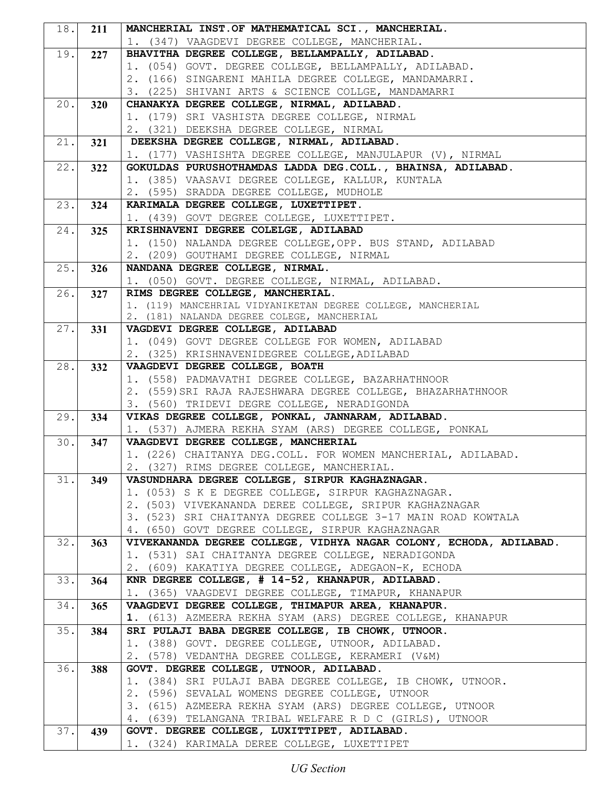| 18.  | 211 | MANCHERIAL INST. OF MATHEMATICAL SCI., MANCHERIAL.                                                           |
|------|-----|--------------------------------------------------------------------------------------------------------------|
|      |     | 1. (347) VAAGDEVI DEGREE COLLEGE, MANCHERIAL.                                                                |
| 19.  | 227 | BHAVITHA DEGREE COLLEGE, BELLAMPALLY, ADILABAD.                                                              |
|      |     | 1. (054) GOVT. DEGREE COLLEGE, BELLAMPALLY, ADILABAD.                                                        |
|      |     | 2. (166) SINGARENI MAHILA DEGREE COLLEGE, MANDAMARRI.                                                        |
|      |     | 3. (225) SHIVANI ARTS & SCIENCE COLLGE, MANDAMARRI                                                           |
| 20.1 | 320 | CHANAKYA DEGREE COLLEGE, NIRMAL, ADILABAD.                                                                   |
|      |     | 1. (179) SRI VASHISTA DEGREE COLLEGE, NIRMAL                                                                 |
|      |     | 2. (321) DEEKSHA DEGREE COLLEGE, NIRMAL                                                                      |
| 21.  | 321 | DEEKSHA DEGREE COLLEGE, NIRMAL, ADILABAD.                                                                    |
|      |     | 1. (177) VASHISHTA DEGREE COLLEGE, MANJULAPUR (V), NIRMAL                                                    |
| 22.  | 322 | GOKULDAS PURUSHOTHAMDAS LADDA DEG.COLL., BHAINSA, ADILABAD.                                                  |
|      |     | 1. (385) VAASAVI DEGREE COLLEGE, KALLUR, KUNTALA                                                             |
|      |     | 2. (595) SRADDA DEGREE COLLEGE, MUDHOLE                                                                      |
| 23.  | 324 | KARIMALA DEGREE COLLEGE, LUXETTIPET.                                                                         |
|      |     | 1. (439) GOVT DEGREE COLLEGE, LUXETTIPET.                                                                    |
| 24.  | 325 | KRISHNAVENI DEGREE COLELGE, ADILABAD                                                                         |
|      |     | 1. (150) NALANDA DEGREE COLLEGE, OPP. BUS STAND, ADILABAD                                                    |
|      |     | 2. (209) GOUTHAMI DEGREE COLLEGE, NIRMAL                                                                     |
| 25.  | 326 | NANDANA DEGREE COLLEGE, NIRMAL.                                                                              |
|      |     | 1. (050) GOVT. DEGREE COLLEGE, NIRMAL, ADILABAD.                                                             |
| 26.  | 327 | RIMS DEGREE COLLEGE, MANCHERIAL.<br>1. (119) MANCEHRIAL VIDYANIKETAN DEGREE COLLEGE, MANCHERIAL              |
|      |     | 2. (181) NALANDA DEGREE COLEGE, MANCHERIAL                                                                   |
| 27.  | 331 | VAGDEVI DEGREE COLLEGE, ADILABAD                                                                             |
|      |     | 1. (049) GOVT DEGREE COLLEGE FOR WOMEN, ADILABAD                                                             |
|      |     | 2. (325) KRISHNAVENIDEGREE COLLEGE, ADILABAD                                                                 |
| 28.  | 332 | VAAGDEVI DEGREE COLLEGE, BOATH                                                                               |
|      |     | 1. (558) PADMAVATHI DEGREE COLLEGE, BAZARHATHNOOR                                                            |
|      |     | 2. (559) SRI RAJA RAJESHWARA DEGREE COLLEGE, BHAZARHATHNOOR                                                  |
|      |     | 3. (560) TRIDEVI DEGRE COLLEGE, NERADIGONDA                                                                  |
| 29.  | 334 | VIKAS DEGREE COLLEGE, PONKAL, JANNARAM, ADILABAD.                                                            |
|      |     | 1. (537) AJMERA REKHA SYAM (ARS) DEGREE COLLEGE, PONKAL                                                      |
| 30.1 | 347 | VAAGDEVI DEGREE COLLEGE, MANCHERIAL                                                                          |
|      |     | 1. (226) CHAITANYA DEG.COLL. FOR WOMEN MANCHERIAL, ADILABAD.                                                 |
|      |     | 2. (327) RIMS DEGREE COLLEGE, MANCHERIAL.                                                                    |
| 31.  | 349 | VASUNDHARA DEGREE COLLEGE, SIRPUR KAGHAZNAGAR.                                                               |
|      |     | 1. (053) S K E DEGREE COLLEGE, SIRPUR KAGHAZNAGAR.                                                           |
|      |     | 2. (503) VIVEKANANDA DEREE COLLEGE, SRIPUR KAGHAZNAGAR                                                       |
|      |     | 3. (523) SRI CHAITANYA DEGREE COLLEGE 3-17 MAIN ROAD KOWTALA                                                 |
|      |     | 4. (650) GOVT DEGREE COLLEGE, SIRPUR KAGHAZNAGAR                                                             |
| 32.  | 363 | VIVEKANANDA DEGREE COLLEGE, VIDHYA NAGAR COLONY, ECHODA, ADILABAD.                                           |
|      |     | 1. (531) SAI CHAITANYA DEGREE COLLEGE, NERADIGONDA                                                           |
|      |     | 2. (609) KAKATIYA DEGREE COLLEGE, ADEGAON-K, ECHODA                                                          |
| 33.  | 364 | KNR DEGREE COLLEGE, # 14-52, KHANAPUR, ADILABAD.                                                             |
|      |     | 1. (365) VAAGDEVI DEGREE COLLEGE, TIMAPUR, KHANAPUR                                                          |
| 34.  | 365 | VAAGDEVI DEGREE COLLEGE, THIMAPUR AREA, KHANAPUR.                                                            |
|      |     | 1. (613) AZMEERA REKHA SYAM (ARS) DEGREE COLLEGE, KHANAPUR                                                   |
| 35.  | 384 | SRI PULAJI BABA DEGREE COLLEGE, IB CHOWK, UTNOOR.                                                            |
|      |     | 1. (388) GOVT. DEGREE COLLEGE, UTNOOR, ADILABAD.                                                             |
|      |     | 2. (578) VEDANTHA DEGREE COLLEGE, KERAMERI (V&M)                                                             |
| 36.  | 388 | GOVT. DEGREE COLLEGE, UTNOOR, ADILABAD.                                                                      |
|      |     | 1. (384) SRI PULAJI BABA DEGREE COLLEGE, IB CHOWK, UTNOOR.<br>2. (596) SEVALAL WOMENS DEGREE COLLEGE, UTNOOR |
|      |     | 3. (615) AZMEERA REKHA SYAM (ARS) DEGREE COLLEGE, UTNOOR                                                     |
|      |     | 4. (639) TELANGANA TRIBAL WELFARE R D C (GIRLS), UTNOOR                                                      |
| 37.  | 439 | GOVT. DEGREE COLLEGE, LUXITTIPET, ADILABAD.                                                                  |
|      |     | 1. (324) KARIMALA DEREE COLLEGE, LUXETTIPET                                                                  |
|      |     |                                                                                                              |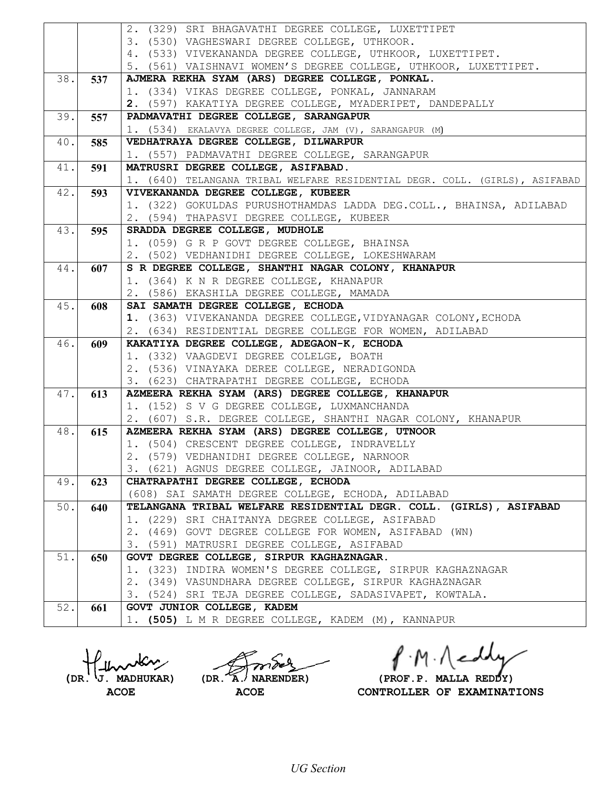|       |     | 2. (329) SRI BHAGAVATHI DEGREE COLLEGE, LUXETTIPET                          |
|-------|-----|-----------------------------------------------------------------------------|
|       |     | 3. (530) VAGHESWARI DEGREE COLLEGE, UTHKOOR.                                |
|       |     | 4. (533) VIVEKANANDA DEGREE COLLEGE, UTHKOOR, LUXETTIPET.                   |
|       |     | 5. (561) VAISHNAVI WOMEN'S DEGREE COLLEGE, UTHKOOR, LUXETTIPET.             |
| 38.1  | 537 | AJMERA REKHA SYAM (ARS) DEGREE COLLEGE, PONKAL.                             |
|       |     | 1. (334) VIKAS DEGREE COLLEGE, PONKAL, JANNARAM                             |
|       |     | 2. (597) KAKATIYA DEGREE COLLEGE, MYADERIPET, DANDEPALLY                    |
| 39.   | 557 | PADMAVATHI DEGREE COLLEGE, SARANGAPUR                                       |
|       |     | 1. (534) EKALAVYA DEGREE COLLEGE, JAM (V), SARANGAPUR (M)                   |
| 40.   | 585 | VEDHATRAYA DEGREE COLLEGE, DILWARPUR                                        |
|       |     | 1. (557) PADMAVATHI DEGREE COLLEGE, SARANGAPUR                              |
| 41.   |     | MATRUSRI DEGREE COLLEGE, ASIFABAD.                                          |
|       | 591 | 1. (640) TELANGANA TRIBAL WELFARE RESIDENTIAL DEGR. COLL. (GIRLS), ASIFABAD |
| 42.   | 593 | VIVEKANANDA DEGREE COLLEGE, KUBEER                                          |
|       |     | 1. (322) GOKULDAS PURUSHOTHAMDAS LADDA DEG.COLL., BHAINSA, ADILABAD         |
|       |     | 2. (594) THAPASVI DEGREE COLLEGE, KUBEER                                    |
| 43.   | 595 | SRADDA DEGREE COLLEGE, MUDHOLE                                              |
|       |     | 1. (059) G R P GOVT DEGREE COLLEGE, BHAINSA                                 |
|       |     | 2. (502) VEDHANIDHI DEGREE COLLEGE, LOKESHWARAM                             |
| 44.   | 607 | S R DEGREE COLLEGE, SHANTHI NAGAR COLONY, KHANAPUR                          |
|       |     | 1. (364) K N R DEGREE COLLEGE, KHANAPUR                                     |
|       |     | 2. (586) EKASHILA DEGREE COLLEGE, MAMADA                                    |
| 45.   | 608 | SAI SAMATH DEGREE COLLEGE, ECHODA                                           |
|       |     | 1. (363) VIVEKANANDA DEGREE COLLEGE, VIDYANAGAR COLONY, ECHODA              |
|       |     | 2. (634) RESIDENTIAL DEGREE COLLEGE FOR WOMEN, ADILABAD                     |
| 46.   | 609 | KAKATIYA DEGREE COLLEGE, ADEGAON-K, ECHODA                                  |
|       |     | 1. (332) VAAGDEVI DEGREE COLELGE, BOATH                                     |
|       |     | 2. (536) VINAYAKA DEREE COLLEGE, NERADIGONDA                                |
|       |     | 3. (623) CHATRAPATHI DEGREE COLLEGE, ECHODA                                 |
| 47.   | 613 | AZMEERA REKHA SYAM (ARS) DEGREE COLLEGE, KHANAPUR                           |
|       |     | 1. (152) S V G DEGREE COLLEGE, LUXMANCHANDA                                 |
|       |     | 2. (607) S.R. DEGREE COLLEGE, SHANTHI NAGAR COLONY, KHANAPUR                |
| 48.   | 615 | AZMEERA REKHA SYAM (ARS) DEGREE COLLEGE, UTNOOR                             |
|       |     | 1. (504) CRESCENT DEGREE COLLEGE, INDRAVELLY                                |
|       |     | 2. (579) VEDHANIDHI DEGREE COLLEGE, NARNOOR                                 |
|       |     | 3. (621) AGNUS DEGREE COLLEGE, JAINOOR, ADILABAD                            |
| 49.   | 623 | CHATRAPATHI DEGREE COLLEGE, ECHODA                                          |
|       |     | (608) SAI SAMATH DEGREE COLLEGE, ECHODA, ADILABAD                           |
| $50.$ | 640 | TELANGANA TRIBAL WELFARE RESIDENTIAL DEGR. COLL. (GIRLS), ASIFABAD          |
|       |     | 1. (229) SRI CHAITANYA DEGREE COLLEGE, ASIFABAD                             |
|       |     | 2. (469) GOVT DEGREE COLLEGE FOR WOMEN, ASIFABAD (WN)                       |
|       |     | 3. (591) MATRUSRI DEGREE COLLEGE, ASIFABAD                                  |
| 51.   | 650 | GOVT DEGREE COLLEGE, SIRPUR KAGHAZNAGAR.                                    |
|       |     | 1. (323) INDIRA WOMEN'S DEGREE COLLEGE, SIRPUR KAGHAZNAGAR                  |
|       |     | 2. (349) VASUNDHARA DEGREE COLLEGE, SIRPUR KAGHAZNAGAR                      |
|       |     | 3. (524) SRI TEJA DEGREE COLLEGE, SADASIVAPET, KOWTALA.                     |
| 52.   | 661 | GOVT JUNIOR COLLEGE, KADEM                                                  |
|       |     | 1. (505) L M R DEGREE COLLEGE, KADEM (M), KANNAPUR                          |

 $f \cdot M \cdot \bigwedge$ 

(DR. J. MADHUKAR) (DR. A. NARENDER) (PROF.P. MALLA REDDY)<br>ACOE **ACOE** CONTROLLER OF EXAMINAT **CONTROLLER OF EXAMINATIONS**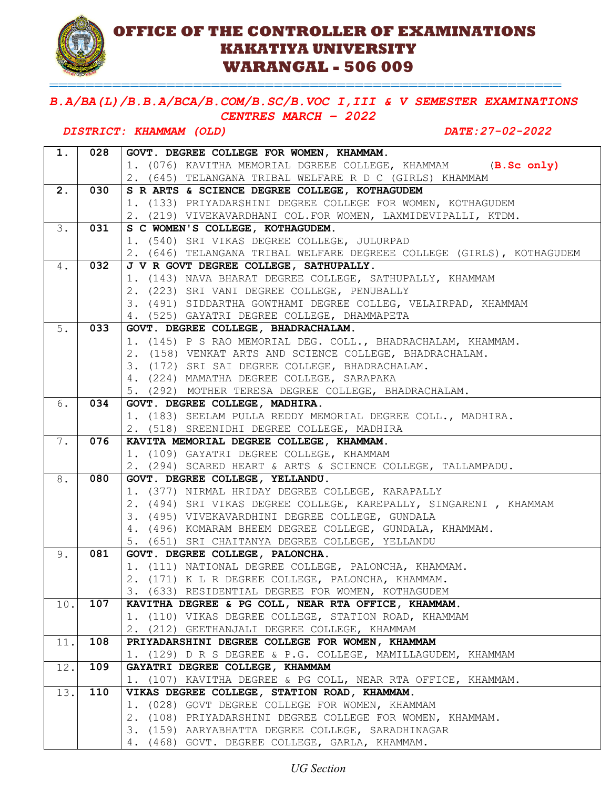## **OFFICE OF THE CONTROLLER OF EXAMINATIONS KAKATIYA UNIVERSITY WARANGAL - 506 009**

### *B.A/BA(L)/B.B.A/BCA/B.COM/B.SC/B.VOC I,III & V SEMESTER EXAMINATIONS CENTRES MARCH – 2022*

=========================================================

#### *DISTRICT: KHAMMAM (OLD) DATE:27-02-2022*

| 1.  | 028 | GOVT. DEGREE COLLEGE FOR WOMEN, KHAMMAM.                              |
|-----|-----|-----------------------------------------------------------------------|
|     |     | 1. (076) KAVITHA MEMORIAL DGREEE COLLEGE, KHAMMAM (B.Sc only)         |
|     |     | 2. (645) TELANGANA TRIBAL WELFARE R D C (GIRLS) KHAMMAM               |
| 2.  | 030 | S R ARTS & SCIENCE DEGREE COLLEGE, KOTHAGUDEM                         |
|     |     | 1. (133) PRIYADARSHINI DEGREE COLLEGE FOR WOMEN, KOTHAGUDEM           |
|     |     | 2. (219) VIVEKAVARDHANI COL. FOR WOMEN, LAXMIDEVIPALLI, KTDM.         |
| 3.  | 031 | S C WOMEN'S COLLEGE, KOTHAGUDEM.                                      |
|     |     | 1. (540) SRI VIKAS DEGREE COLLEGE, JULURPAD                           |
|     |     | 2. (646) TELANGANA TRIBAL WELFARE DEGREEE COLLEGE (GIRLS), KOTHAGUDEM |
| 4.  | 032 | J V R GOVT DEGREE COLLEGE, SATHUPALLY.                                |
|     |     | 1. (143) NAVA BHARAT DEGREE COLLEGE, SATHUPALLY, KHAMMAM              |
|     |     | 2. (223) SRI VANI DEGREE COLLEGE, PENUBALLY                           |
|     |     | 3. (491) SIDDARTHA GOWTHAMI DEGREE COLLEG, VELAIRPAD, KHAMMAM         |
|     |     | 4. (525) GAYATRI DEGREE COLLEGE, DHAMMAPETA                           |
| 5.  | 033 | GOVT. DEGREE COLLEGE, BHADRACHALAM.                                   |
|     |     | 1. (145) P S RAO MEMORIAL DEG. COLL., BHADRACHALAM, KHAMMAM.          |
|     |     | 2. (158) VENKAT ARTS AND SCIENCE COLLEGE, BHADRACHALAM.               |
|     |     | 3. (172) SRI SAI DEGREE COLLEGE, BHADRACHALAM.                        |
|     |     | 4. (224) MAMATHA DEGREE COLLEGE, SARAPAKA                             |
|     |     | 5. (292) MOTHER TERESA DEGREE COLLEGE, BHADRACHALAM.                  |
| 6.  | 034 | GOVT. DEGREE COLLEGE, MADHIRA.                                        |
|     |     | 1. (183) SEELAM PULLA REDDY MEMORIAL DEGREE COLL., MADHIRA.           |
|     |     | 2. (518) SREENIDHI DEGREE COLLEGE, MADHIRA                            |
| 7.  | 076 | KAVITA MEMORIAL DEGREE COLLEGE, KHAMMAM.                              |
|     |     | 1. (109) GAYATRI DEGREE COLLEGE, KHAMMAM                              |
|     |     | 2. (294) SCARED HEART & ARTS & SCIENCE COLLEGE, TALLAMPADU.           |
| 8.  | 080 | GOVT. DEGREE COLLEGE, YELLANDU.                                       |
|     |     | 1. (377) NIRMAL HRIDAY DEGREE COLLEGE, KARAPALLY                      |
|     |     | 2. (494) SRI VIKAS DEGREE COLLEGE, KAREPALLY, SINGARENI, KHAMMAM      |
|     |     | 3. (495) VIVEKAVARDHINI DEGREE COLLEGE, GUNDALA                       |
|     |     | 4. (496) KOMARAM BHEEM DEGREE COLLEGE, GUNDALA, KHAMMAM.              |
|     |     | 5. (651) SRI CHAITANYA DEGREE COLLEGE, YELLANDU                       |
| 9.  | 081 | GOVT. DEGREE COLLEGE, PALONCHA.                                       |
|     |     | 1. (111) NATIONAL DEGREE COLLEGE, PALONCHA, KHAMMAM.                  |
|     |     | 2. (171) K L R DEGREE COLLEGE, PALONCHA, KHAMMAM.                     |
|     |     | 3. (633) RESIDENTIAL DEGREE FOR WOMEN, KOTHAGUDEM                     |
| 10. | 107 | KAVITHA DEGREE & PG COLL, NEAR RTA OFFICE, KHAMMAM.                   |
|     |     | 1. (110) VIKAS DEGREE COLLEGE, STATION ROAD, KHAMMAM                  |
|     |     | 2. (212) GEETHANJALI DEGREE COLLEGE, KHAMMAM                          |
| 11. | 108 | PRIYADARSHINI DEGREE COLLEGE FOR WOMEN, KHAMMAM                       |
|     |     | 1. (129) D R S DEGREE & P.G. COLLEGE, MAMILLAGUDEM, KHAMMAM           |
| 12. | 109 | GAYATRI DEGREE COLLEGE, KHAMMAM                                       |
|     |     | 1. (107) KAVITHA DEGREE & PG COLL, NEAR RTA OFFICE, KHAMMAM.          |
| 13. | 110 | VIKAS DEGREE COLLEGE, STATION ROAD, KHAMMAM.                          |
|     |     | 1. (028) GOVT DEGREE COLLEGE FOR WOMEN, KHAMMAM                       |
|     |     | 2. (108) PRIYADARSHINI DEGREE COLLEGE FOR WOMEN, KHAMMAM.             |
|     |     | 3. (159) AARYABHATTA DEGREE COLLEGE, SARADHINAGAR                     |
|     |     | 4. (468) GOVT. DEGREE COLLEGE, GARLA, KHAMMAM.                        |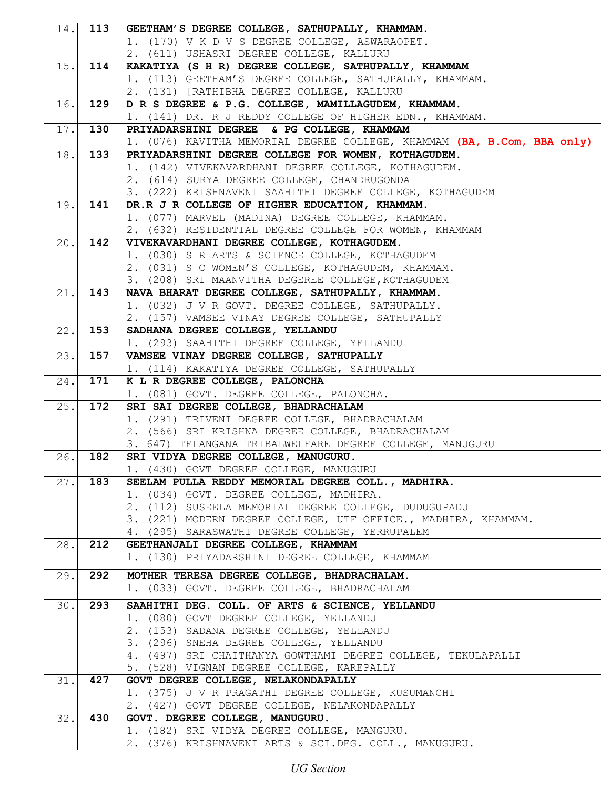| 14.               | 113 | GEETHAM'S DEGREE COLLEGE, SATHUPALLY, KHAMMAM.                                                  |
|-------------------|-----|-------------------------------------------------------------------------------------------------|
|                   |     | 1. (170) V K D V S DEGREE COLLEGE, ASWARAOPET.                                                  |
|                   |     | 2. (611) USHASRI DEGREE COLLEGE, KALLURU                                                        |
| 15.               | 114 | KAKATIYA (S H R) DEGREE COLLEGE, SATHUPALLY, KHAMMAM                                            |
|                   |     | 1. (113) GEETHAM'S DEGREE COLLEGE, SATHUPALLY, KHAMMAM.                                         |
|                   |     | 2. (131) [RATHIBHA DEGREE COLLEGE, KALLURU                                                      |
| 16.               | 129 | D R S DEGREE & P.G. COLLEGE, MAMILLAGUDEM, KHAMMAM.                                             |
|                   |     | 1. (141) DR. R J REDDY COLLEGE OF HIGHER EDN., KHAMMAM.                                         |
| $\overline{17}$ . | 130 | PRIYADARSHINI DEGREE & PG COLLEGE, KHAMMAM                                                      |
|                   |     | 1. (076) KAVITHA MEMORIAL DEGREE COLLEGE, KHAMMAM (BA, B.Com, BBA only)                         |
| 18.               | 133 | PRIYADARSHINI DEGREE COLLEGE FOR WOMEN, KOTHAGUDEM.                                             |
|                   |     | 1. (142) VIVEKAVARDHANI DEGREE COLLEGE, KOTHAGUDEM.                                             |
|                   |     | 2. (614) SURYA DEGREE COLLEGE, CHANDRUGONDA                                                     |
|                   |     | 3. (222) KRISHNAVENI SAAHITHI DEGREE COLLEGE, KOTHAGUDEM                                        |
| 19.               | 141 | DR.R J R COLLEGE OF HIGHER EDUCATION, KHAMMAM.                                                  |
|                   |     | 1. (077) MARVEL (MADINA) DEGREE COLLEGE, KHAMMAM.                                               |
|                   |     | 2. (632) RESIDENTIAL DEGREE COLLEGE FOR WOMEN, KHAMMAM                                          |
| 20.               | 142 | VIVEKAVARDHANI DEGREE COLLEGE, KOTHAGUDEM.                                                      |
|                   |     | 1. (030) S R ARTS & SCIENCE COLLEGE, KOTHAGUDEM                                                 |
|                   |     | 2. (031) S C WOMEN'S COLLEGE, KOTHAGUDEM, KHAMMAM.                                              |
|                   |     | 3. (208) SRI MAANVITHA DEGEREE COLLEGE, KOTHAGUDEM                                              |
| 21.               | 143 | NAVA BHARAT DEGREE COLLEGE, SATHUPALLY, KHAMMAM.                                                |
|                   |     | 1. (032) J V R GOVT. DEGREE COLLEGE, SATHUPALLY.                                                |
|                   |     | 2. (157) VAMSEE VINAY DEGREE COLLEGE, SATHUPALLY                                                |
| $\overline{2}2$ . | 153 | SADHANA DEGREE COLLEGE, YELLANDU                                                                |
|                   |     | 1. (293) SAAHITHI DEGREE COLLEGE, YELLANDU                                                      |
| 23.               | 157 | VAMSEE VINAY DEGREE COLLEGE, SATHUPALLY                                                         |
|                   |     | 1. (114) KAKATIYA DEGREE COLLEGE, SATHUPALLY                                                    |
| 24.               | 171 | K L R DEGREE COLLEGE, PALONCHA                                                                  |
|                   |     | 1. (081) GOVT. DEGREE COLLEGE, PALONCHA.                                                        |
| 25.               | 172 | SRI SAI DEGREE COLLEGE, BHADRACHALAM                                                            |
|                   |     | 1. (291) TRIVENI DEGREE COLLEGE, BHADRACHALAM                                                   |
|                   |     | 2. (566) SRI KRISHNA DEGREE COLLEGE, BHADRACHALAM                                               |
|                   |     | 3. 647) TELANGANA TRIBALWELFARE DEGREE COLLEGE, MANUGURU                                        |
| 26.               | 182 | SRI VIDYA DEGREE COLLEGE, MANUGURU.                                                             |
|                   |     | 1. (430) GOVT DEGREE COLLEGE, MANUGURU                                                          |
| 27.1              | 183 | SEELAM PULLA REDDY MEMORIAL DEGREE COLL., MADHIRA.                                              |
|                   |     | 1. (034) GOVT. DEGREE COLLEGE, MADHIRA.<br>2. (112) SUSEELA MEMORIAL DEGREE COLLEGE, DUDUGUPADU |
|                   |     | 3. (221) MODERN DEGREE COLLEGE, UTF OFFICE., MADHIRA, KHAMMAM.                                  |
|                   |     | 4. (295) SARASWATHI DEGREE COLLEGE, YERRUPALEM                                                  |
| 28.               | 212 | GEETHANJALI DEGREE COLLEGE, KHAMMAM                                                             |
|                   |     | 1. (130) PRIYADARSHINI DEGREE COLLEGE, KHAMMAM                                                  |
|                   |     |                                                                                                 |
| 29.               | 292 | MOTHER TERESA DEGREE COLLEGE, BHADRACHALAM.                                                     |
|                   |     | 1. (033) GOVT. DEGREE COLLEGE, BHADRACHALAM                                                     |
| 30.               | 293 | SAAHITHI DEG. COLL. OF ARTS & SCIENCE, YELLANDU                                                 |
|                   |     | 1. (080) GOVT DEGREE COLLEGE, YELLANDU                                                          |
|                   |     | 2. (153) SADANA DEGREE COLLEGE, YELLANDU                                                        |
|                   |     | 3. (296) SNEHA DEGREE COLLEGE, YELLANDU                                                         |
|                   |     | 4. (497) SRI CHAITHANYA GOWTHAMI DEGREE COLLEGE, TEKULAPALLI                                    |
|                   |     | 5. (528) VIGNAN DEGREE COLLEGE, KAREPALLY                                                       |
| 31.               | 427 | GOVT DEGREE COLLEGE, NELAKONDAPALLY                                                             |
|                   |     | 1. (375) J V R PRAGATHI DEGREE COLLEGE, KUSUMANCHI                                              |
|                   |     | 2. (427) GOVT DEGREE COLLEGE, NELAKONDAPALLY                                                    |
| 32.               | 430 | GOVT. DEGREE COLLEGE, MANUGURU.                                                                 |
|                   |     | 1. (182) SRI VIDYA DEGREE COLLEGE, MANGURU.                                                     |
|                   |     | 2. (376) KRISHNAVENI ARTS & SCI.DEG. COLL., MANUGURU.                                           |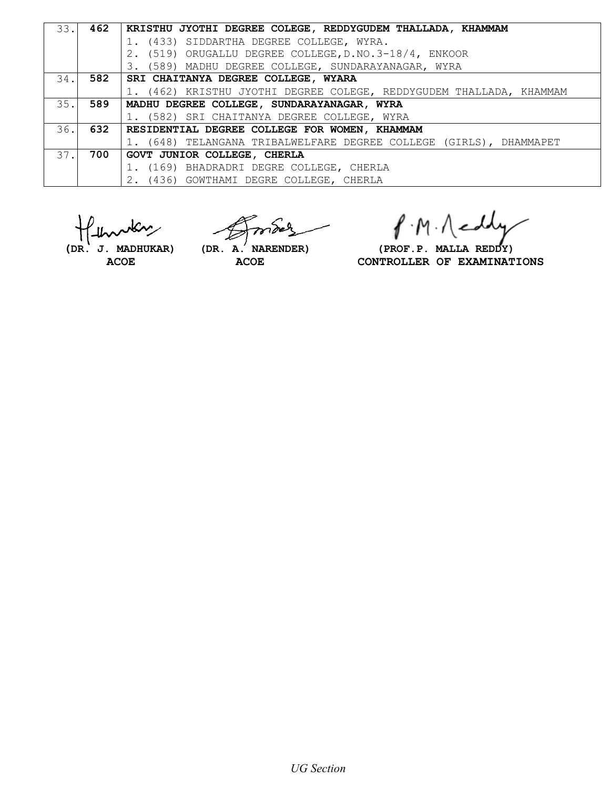| 33.1 | 462 | KRISTHU JYOTHI DEGREE COLEGE, REDDYGUDEM THALLADA, KHAMMAM          |
|------|-----|---------------------------------------------------------------------|
|      |     | 1. (433) SIDDARTHA DEGREE COLLEGE, WYRA.                            |
|      |     | 2. (519) ORUGALLU DEGREE COLLEGE, D.NO.3-18/4, ENKOOR               |
|      |     | 3. (589) MADHU DEGREE COLLEGE, SUNDARAYANAGAR, WYRA                 |
| 34.1 |     | 582   SRI CHAITANYA DEGREE COLLEGE, WYARA                           |
|      |     | 1. (462) KRISTHU JYOTHI DEGREE COLEGE, REDDYGUDEM THALLADA, KHAMMAM |
| 35.1 | 589 | MADHU DEGREE COLLEGE, SUNDARAYANAGAR, WYRA                          |
|      |     | 1. (582) SRI CHAITANYA DEGREE COLLEGE, WYRA                         |
|      |     | 36. 632 RESIDENTIAL DEGREE COLLEGE FOR WOMEN, KHAMMAM               |
|      |     | 1. (648) TELANGANA TRIBALWELFARE DEGREE COLLEGE (GIRLS), DHAMMAPET  |
| 37.1 | 700 | GOVT JUNIOR COLLEGE, CHERLA                                         |
|      |     | 1. (169) BHADRADRI DEGRE COLLEGE, CHERLA                            |
|      |     | 2. (436) GOWTHAMI DEGRE COLLEGE, CHERLA                             |

بمكلر

P.M. Neddy

 **(DR. J. MADHUKAR) (DR. A. NARENDER) (PROF.P. MALLA REDDY)** ACOE ACOE **ACOE** CONTROLLER OF EXAMINATIONS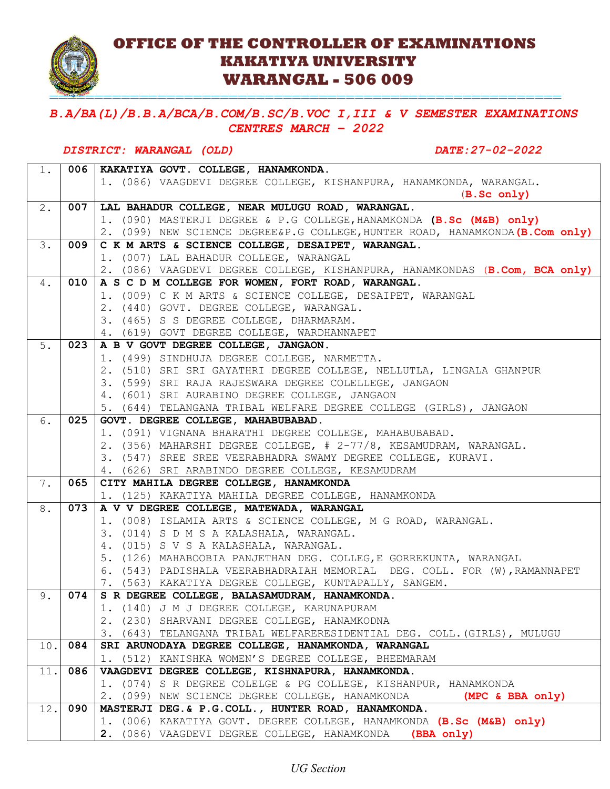

## **OFFICE OF THE CONTROLLER OF EXAMINATIONS KAKATIYA UNIVERSITY WARANGAL - 506 009**

=========================================================

### *B.A/BA(L)/B.B.A/BCA/B.COM/B.SC/B.VOC I,III & V SEMESTER EXAMINATIONS CENTRES MARCH – 2022*

#### *DISTRICT: WARANGAL (OLD) DATE:27-02-2022*

| 1.  |     | 006   KAKATIYA GOVT. COLLEGE, HANAMKONDA.                                     |
|-----|-----|-------------------------------------------------------------------------------|
|     |     | 1. (086) VAAGDEVI DEGREE COLLEGE, KISHANPURA, HANAMKONDA, WARANGAL.           |
|     |     | (B. Sc only)                                                                  |
| 2.  | 007 | LAL BAHADUR COLLEGE, NEAR MULUGU ROAD, WARANGAL.                              |
|     |     | 1. (090) MASTERJI DEGREE & P.G COLLEGE, HANAMKONDA (B.Sc (M&B) only)          |
|     |     | 2. (099) NEW SCIENCE DEGREE&P.G COLLEGE, HUNTER ROAD, HANAMKONDA (B.Com only) |
| 3.  | 009 | C K M ARTS & SCIENCE COLLEGE, DESAIPET, WARANGAL.                             |
|     |     | 1. (007) LAL BAHADUR COLLEGE, WARANGAL                                        |
|     |     | 2. (086) VAAGDEVI DEGREE COLLEGE, KISHANPURA, HANAMKONDAS (B.Com, BCA only)   |
| 4.  | 010 | A S C D M COLLEGE FOR WOMEN, FORT ROAD, WARANGAL.                             |
|     |     | 1. (009) C K M ARTS & SCIENCE COLLEGE, DESAIPET, WARANGAL                     |
|     |     | 2. (440) GOVT. DEGREE COLLEGE, WARANGAL.                                      |
|     |     | 3. (465) S S DEGREE COLLEGE, DHARMARAM.                                       |
|     |     | 4. (619) GOVT DEGREE COLLEGE, WARDHANNAPET                                    |
| 5.  | 023 | A B V GOVT DEGREE COLLEGE, JANGAON.                                           |
|     |     | 1. (499) SINDHUJA DEGREE COLLEGE, NARMETTA.                                   |
|     |     | 2. (510) SRI SRI GAYATHRI DEGREE COLLEGE, NELLUTLA, LINGALA GHANPUR           |
|     |     | 3. (599) SRI RAJA RAJESWARA DEGREE COLELLEGE, JANGAON                         |
|     |     | 4. (601) SRI AURABINO DEGREE COLLEGE, JANGAON                                 |
|     |     | 5. (644) TELANGANA TRIBAL WELFARE DEGREE COLLEGE (GIRLS), JANGAON             |
| 6.  | 025 | GOVT. DEGREE COLLEGE, MAHABUBABAD.                                            |
|     |     | 1. (091) VIGNANA BHARATHI DEGREE COLLEGE, MAHABUBABAD.                        |
|     |     | 2. (356) MAHARSHI DEGREE COLLEGE, # 2-77/8, KESAMUDRAM, WARANGAL.             |
|     |     | 3. (547) SREE SREE VEERABHADRA SWAMY DEGREE COLLEGE, KURAVI.                  |
|     |     | 4. (626) SRI ARABINDO DEGREE COLLEGE, KESAMUDRAM                              |
| 7.  | 065 | CITY MAHILA DEGREE COLLEGE, HANAMKONDA                                        |
|     |     | 1. (125) KAKATIYA MAHILA DEGREE COLLEGE, HANAMKONDA                           |
| 8.  | 073 | A V V DEGREE COLLEGE, MATEWADA, WARANGAL                                      |
|     |     | 1. (008) ISLAMIA ARTS & SCIENCE COLLEGE, M G ROAD, WARANGAL.                  |
|     |     | 3. (014) S D M S A KALASHALA, WARANGAL.                                       |
|     |     | 4. (015) S V S A KALASHALA, WARANGAL.                                         |
|     |     | 5. (126) MAHABOOBIA PANJETHAN DEG. COLLEG, E GORREKUNTA, WARANGAL             |
|     |     | 6. (543) PADISHALA VEERABHADRAIAH MEMORIAL DEG. COLL. FOR (W), RAMANNAPET     |
|     |     | 7. (563) KAKATIYA DEGREE COLLEGE, KUNTAPALLY, SANGEM.                         |
| 9.  |     | 074   S R DEGREE COLLEGE, BALASAMUDRAM, HANAMKONDA.                           |
|     |     | 1. (140) J M J DEGREE COLLEGE, KARUNAPURAM                                    |
|     |     | 2. (230) SHARVANI DEGREE COLLEGE, HANAMKODNA                                  |
|     |     | 3. (643) TELANGANA TRIBAL WELFARERESIDENTIAL DEG. COLL. (GIRLS), MULUGU       |
| 10. | 084 | SRI ARUNODAYA DEGREE COLLEGE, HANAMKONDA, WARANGAL                            |
|     |     | 1. (512) KANISHKA WOMEN'S DEGREE COLLEGE, BHEEMARAM                           |
| 11. | 086 | VAAGDEVI DEGREE COLLEGE, KISHNAPURA, HANAMKONDA.                              |
|     |     | 1. (074) S R DEGREE COLELGE & PG COLLEGE, KISHANPUR, HANAMKONDA               |
|     |     | 2. (099) NEW SCIENCE DEGREE COLLEGE, HANAMKONDA<br>(MPC & BBA only)           |
| 12. | 090 | MASTERJI DEG. & P.G.COLL., HUNTER ROAD, HANAMKONDA.                           |
|     |     | 1. (006) KAKATIYA GOVT. DEGREE COLLEGE, HANAMKONDA (B.Sc (M&B) only)          |
|     |     | 2. (086) VAAGDEVI DEGREE COLLEGE, HANAMKONDA<br>(BBA only)                    |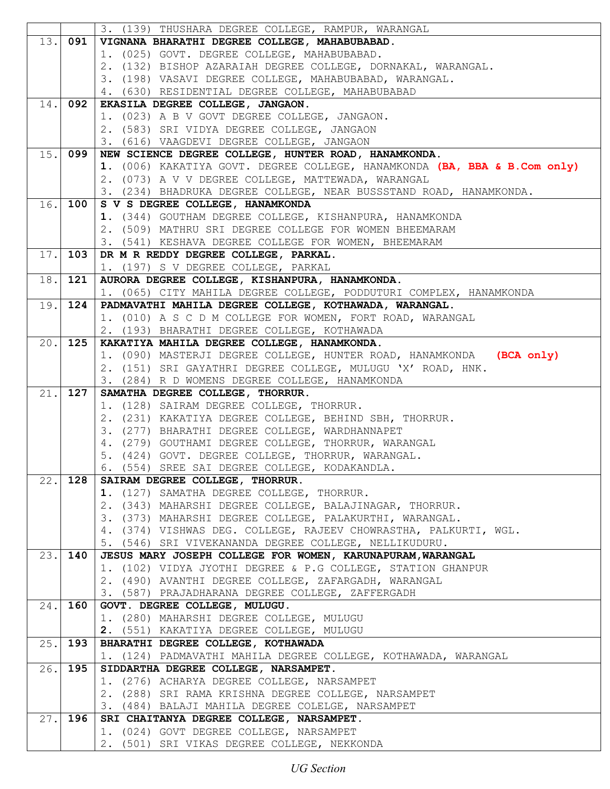|      |         | 3. (139) THUSHARA DEGREE COLLEGE, RAMPUR, WARANGAL                                  |
|------|---------|-------------------------------------------------------------------------------------|
|      | 13. 091 | VIGNANA BHARATHI DEGREE COLLEGE, MAHABUBABAD.                                       |
|      |         | 1. (025) GOVT. DEGREE COLLEGE, MAHABUBABAD.                                         |
|      |         | 2. (132) BISHOP AZARAIAH DEGREE COLLEGE, DORNAKAL, WARANGAL.                        |
|      |         | 3. (198) VASAVI DEGREE COLLEGE, MAHABUBABAD, WARANGAL.                              |
|      |         | 4. (630) RESIDENTIAL DEGREE COLLEGE, MAHABUBABAD                                    |
| 14.  | 092     | EKASILA DEGREE COLLEGE, JANGAON.                                                    |
|      |         | 1. (023) A B V GOVT DEGREE COLLEGE, JANGAON.                                        |
|      |         | 2. (583) SRI VIDYA DEGREE COLLEGE, JANGAON                                          |
|      |         | 3. (616) VAAGDEVI DEGREE COLLEGE, JANGAON                                           |
| 15.  | 099     | NEW SCIENCE DEGREE COLLEGE, HUNTER ROAD, HANAMKONDA.                                |
|      |         | 1. (006) KAKATIYA GOVT. DEGREE COLLEGE, HANAMKONDA (BA, BBA & B.Com only)           |
|      |         |                                                                                     |
|      |         | 2. (073) A V V DEGREE COLLEGE, MATTEWADA, WARANGAL                                  |
|      |         | 3. (234) BHADRUKA DEGREE COLLEGE, NEAR BUSSSTAND ROAD, HANAMKONDA.                  |
| 16.  | 100     | S V S DEGREE COLLEGE, HANAMKONDA                                                    |
|      |         | 1. (344) GOUTHAM DEGREE COLLEGE, KISHANPURA, HANAMKONDA                             |
|      |         | 2. (509) MATHRU SRI DEGREE COLLEGE FOR WOMEN BHEEMARAM                              |
|      |         | 3. (541) KESHAVA DEGREE COLLEGE FOR WOMEN, BHEEMARAM                                |
| 17.  | 103     | DR M R REDDY DEGREE COLLEGE, PARKAL.                                                |
|      |         | 1. (197) S V DEGREE COLLEGE, PARKAL                                                 |
| 18.  | 121     | AURORA DEGREE COLLEGE, KISHANPURA, HANAMKONDA.                                      |
|      |         | 1. (065) CITY MAHILA DEGREE COLLEGE, PODDUTURI COMPLEX, HANAMKONDA                  |
| 19.  | 124     | PADMAVATHI MAHILA DEGREE COLLEGE, KOTHAWADA, WARANGAL.                              |
|      |         | 1. (010) A S C D M COLLEGE FOR WOMEN, FORT ROAD, WARANGAL                           |
|      |         | 2. (193) BHARATHI DEGREE COLLEGE, KOTHAWADA                                         |
| 20.  | 125     | KAKATIYA MAHILA DEGREE COLLEGE, HANAMKONDA.                                         |
|      |         | 1. (090) MASTERJI DEGREE COLLEGE, HUNTER ROAD, HANAMKONDA (BCA only)                |
|      |         | 2. (151) SRI GAYATHRI DEGREE COLLEGE, MULUGU 'X' ROAD, HNK.                         |
|      |         | 3. (284) R D WOMENS DEGREE COLLEGE, HANAMKONDA                                      |
| 21.  | 127     | SAMATHA DEGREE COLLEGE, THORRUR.                                                    |
|      |         | 1. (128) SAIRAM DEGREE COLLEGE, THORRUR.                                            |
|      |         | 2. (231) KAKATIYA DEGREE COLLEGE, BEHIND SBH, THORRUR.                              |
|      |         | 3. (277) BHARATHI DEGREE COLLEGE, WARDHANNAPET                                      |
|      |         | 4. (279) GOUTHAMI DEGREE COLLEGE, THORRUR, WARANGAL                                 |
|      |         | 5. (424) GOVT. DEGREE COLLEGE, THORRUR, WARANGAL.                                   |
|      |         | 6. (554) SREE SAI DEGREE COLLEGE, KODAKANDLA.                                       |
| 22.  | 128     | SAIRAM DEGREE COLLEGE, THORRUR.                                                     |
|      |         | 1. (127) SAMATHA DEGREE COLLEGE, THORRUR.                                           |
|      |         | 2. (343) MAHARSHI DEGREE COLLEGE, BALAJINAGAR, THORRUR.                             |
|      |         | 3. (373) MAHARSHI DEGREE COLLEGE, PALAKURTHI, WARANGAL.                             |
|      |         | 4. (374) VISHWAS DEG. COLLEGE, RAJEEV CHOWRASTHA, PALKURTI, WGL.                    |
|      |         | 5. (546) SRI VIVEKANANDA DEGREE COLLEGE, NELLIKUDURU.                               |
| 23.  | 140     | JESUS MARY JOSEPH COLLEGE FOR WOMEN, KARUNAPURAM, WARANGAL                          |
|      |         |                                                                                     |
|      |         | 1. (102) VIDYA JYOTHI DEGREE & P.G COLLEGE, STATION GHANPUR                         |
|      |         | 2. (490) AVANTHI DEGREE COLLEGE, ZAFARGADH, WARANGAL                                |
|      |         | 3. (587) PRAJADHARANA DEGREE COLLEGE, ZAFFERGADH                                    |
| 24.  | 160     | GOVT. DEGREE COLLEGE, MULUGU.                                                       |
|      |         | 1. (280) MAHARSHI DEGREE COLLEGE, MULUGU                                            |
|      |         | 2. (551) KAKATIYA DEGREE COLLEGE, MULUGU                                            |
| 25.  | 193     | BHARATHI DEGREE COLLEGE, KOTHAWADA                                                  |
|      |         | 1. (124) PADMAVATHI MAHILA DEGREE COLLEGE, KOTHAWADA, WARANGAL                      |
| 26.  | 195     | SIDDARTHA DEGREE COLLEGE, NARSAMPET.                                                |
|      |         | 1. (276) ACHARYA DEGREE COLLEGE, NARSAMPET                                          |
|      |         |                                                                                     |
|      |         | 2. (288) SRI RAMA KRISHNA DEGREE COLLEGE, NARSAMPET                                 |
|      | 196     | 3. (484) BALAJI MAHILA DEGREE COLELGE, NARSAMPET                                    |
| 27.1 |         | SRI CHAITANYA DEGREE COLLEGE, NARSAMPET.<br>1. (024) GOVT DEGREE COLLEGE, NARSAMPET |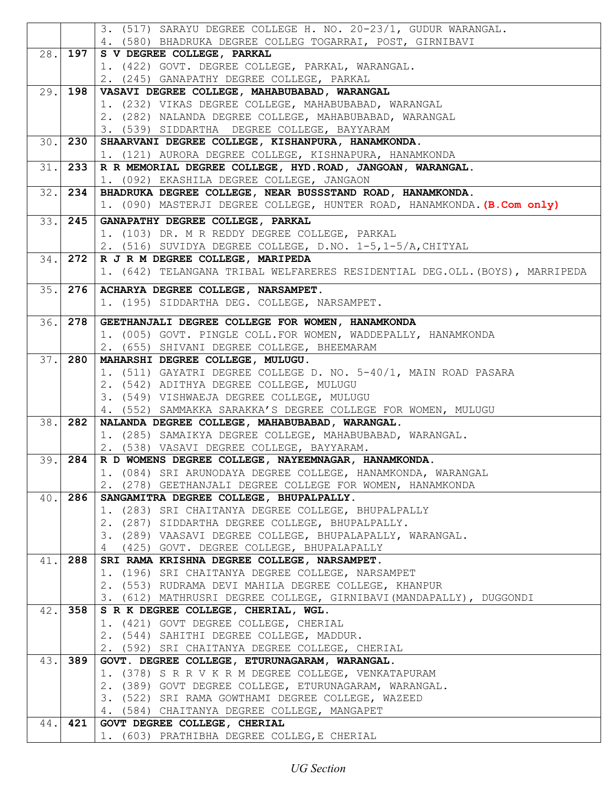|      |           | 3. (517) SARAYU DEGREE COLLEGE H. NO. 20-23/1, GUDUR WARANGAL.                                                    |
|------|-----------|-------------------------------------------------------------------------------------------------------------------|
|      |           | 4. (580) BHADRUKA DEGREE COLLEG TOGARRAI, POST, GIRNIBAVI                                                         |
| 28.  | 197       | S V DEGREE COLLEGE, PARKAL                                                                                        |
|      |           | 1. (422) GOVT. DEGREE COLLEGE, PARKAL, WARANGAL.                                                                  |
|      |           | 2. (245) GANAPATHY DEGREE COLLEGE, PARKAL                                                                         |
| 29.  | 198       | VASAVI DEGREE COLLEGE, MAHABUBABAD, WARANGAL                                                                      |
|      |           | 1. (232) VIKAS DEGREE COLLEGE, MAHABUBABAD, WARANGAL                                                              |
|      |           | 2. (282) NALANDA DEGREE COLLEGE, MAHABUBABAD, WARANGAL                                                            |
|      | 30.1230   | 3. (539) SIDDARTHA DEGREE COLLEGE, BAYYARAM<br>SHAARVANI DEGREE COLLEGE, KISHANPURA, HANAMKONDA.                  |
|      |           | 1. (121) AURORA DEGREE COLLEGE, KISHNAPURA, HANAMKONDA                                                            |
|      | $31.$ 233 | R R MEMORIAL DEGREE COLLEGE, HYD. ROAD, JANGOAN, WARANGAL.                                                        |
|      |           | 1. (092) EKASHILA DEGREE COLLEGE, JANGAON                                                                         |
| 32.  | 234       | BHADRUKA DEGREE COLLEGE, NEAR BUSSSTAND ROAD, HANAMKONDA.                                                         |
|      |           | 1. (090) MASTERJI DEGREE COLLEGE, HUNTER ROAD, HANAMKONDA. (B.Com only)                                           |
| 33.  | 245       | GANAPATHY DEGREE COLLEGE, PARKAL                                                                                  |
|      |           | 1. (103) DR. M R REDDY DEGREE COLLEGE, PARKAL                                                                     |
|      |           | 2. (516) SUVIDYA DEGREE COLLEGE, D.NO. 1-5,1-5/A, CHITYAL                                                         |
| 34.  | 272       | R J R M DEGREE COLLEGE, MARIPEDA                                                                                  |
|      |           | 1. (642) TELANGANA TRIBAL WELFARERES RESIDENTIAL DEG.OLL. (BOYS), MARRIPEDA                                       |
| 35.  | 276       | ACHARYA DEGREE COLLEGE, NARSAMPET.                                                                                |
|      |           | 1. (195) SIDDARTHA DEG. COLLEGE, NARSAMPET.                                                                       |
|      |           |                                                                                                                   |
| 36.  | 278       | GEETHANJALI DEGREE COLLEGE FOR WOMEN, HANAMKONDA<br>1. (005) GOVT. PINGLE COLL. FOR WOMEN, WADDEPALLY, HANAMKONDA |
|      |           | 2. (655) SHIVANI DEGREE COLLEGE, BHEEMARAM                                                                        |
| 37.1 | 280       | MAHARSHI DEGREE COLLEGE, MULUGU.                                                                                  |
|      |           | 1. (511) GAYATRI DEGREE COLLEGE D. NO. 5-40/1, MAIN ROAD PASARA                                                   |
|      |           | 2. (542) ADITHYA DEGREE COLLEGE, MULUGU                                                                           |
|      |           | 3. (549) VISHWAEJA DEGREE COLLEGE, MULUGU                                                                         |
|      |           | 4. (552) SAMMAKKA SARAKKA'S DEGREE COLLEGE FOR WOMEN, MULUGU                                                      |
|      | 38. 282   | NALANDA DEGREE COLLEGE, MAHABUBABAD, WARANGAL.                                                                    |
|      |           | 1. (285) SAMAIKYA DEGREE COLLEGE, MAHABUBABAD, WARANGAL.                                                          |
|      |           | 2. (538) VASAVI DEGREE COLLEGE, BAYYARAM.                                                                         |
| 39.  | 284       | R D WOMENS DEGREE COLLEGE, NAYEEMNAGAR, HANAMKONDA.                                                               |
|      |           | 1. (084) SRI ARUNODAYA DEGREE COLLEGE, HANAMKONDA, WARANGAL                                                       |
| 40.  | 286       | 2. (278) GEETHANJALI DEGREE COLLEGE FOR WOMEN, HANAMKONDA<br>SANGAMITRA DEGREE COLLEGE, BHUPALPALLY.              |
|      |           | 1. (283) SRI CHAITANYA DEGREE COLLEGE, BHUPALPALLY                                                                |
|      |           | 2. (287) SIDDARTHA DEGREE COLLEGE, BHUPALPALLY.                                                                   |
|      |           | 3. (289) VAASAVI DEGREE COLLEGE, BHUPALAPALLY, WARANGAL.                                                          |
|      |           | (425) GOVT. DEGREE COLLEGE, BHUPALAPALLY<br>4                                                                     |
| 41.  | 288       | SRI RAMA KRISHNA DEGREE COLLEGE, NARSAMPET.                                                                       |
|      |           | 1. (196) SRI CHAITANYA DEGREE COLLEGE, NARSAMPET                                                                  |
|      |           | 2. (553) RUDRAMA DEVI MAHILA DEGREE COLLEGE, KHANPUR                                                              |
|      |           | 3. (612) MATHRUSRI DEGREE COLLEGE, GIRNIBAVI (MANDAPALLY), DUGGONDI                                               |
| 42.  | 358       | S R K DEGREE COLLEGE, CHERIAL, WGL.                                                                               |
|      |           | 1. (421) GOVT DEGREE COLLEGE, CHERIAL                                                                             |
|      |           | 2. (544) SAHITHI DEGREE COLLEGE, MADDUR.                                                                          |
| 43.  | 389       | 2. (592) SRI CHAITANYA DEGREE COLLEGE, CHERIAL<br>GOVT. DEGREE COLLEGE, ETURUNAGARAM, WARANGAL.                   |
|      |           | 1. (378) S R R V K R M DEGREE COLLEGE, VENKATAPURAM                                                               |
|      |           | 2. (389) GOVT DEGREE COLLEGE, ETURUNAGARAM, WARANGAL.                                                             |
|      |           | 3. (522) SRI RAMA GOWTHAMI DEGREE COLLEGE, WAZEED                                                                 |
|      |           | 4. (584) CHAITANYA DEGREE COLLEGE, MANGAPET                                                                       |
| 44.  | 421       | GOVT DEGREE COLLEGE, CHERIAL                                                                                      |
|      |           | 1. (603) PRATHIBHA DEGREE COLLEG, E CHERIAL                                                                       |